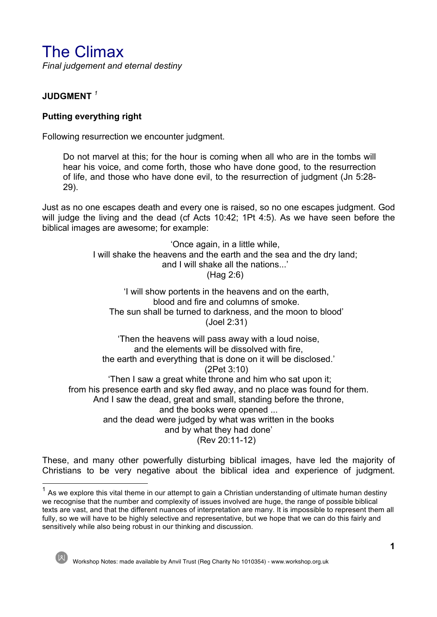# **JUDGMENT** *<sup>1</sup>*

## **Putting everything right**

Following resurrection we encounter judgment.

Do not marvel at this; for the hour is coming when all who are in the tombs will hear his voice, and come forth, those who have done good, to the resurrection of life, and those who have done evil, to the resurrection of judgment (Jn 5:28- 29).

Just as no one escapes death and every one is raised, so no one escapes judgment. God will judge the living and the dead (cf Acts 10:42; 1Pt 4:5). As we have seen before the biblical images are awesome; for example:

'Once again, in a little while, I will shake the heavens and the earth and the sea and the dry land; and I will shake all the nations...' (Hag 2:6) 'I will show portents in the heavens and on the earth, blood and fire and columns of smoke. The sun shall be turned to darkness, and the moon to blood' (Joel 2:31) 'Then the heavens will pass away with a loud noise, and the elements will be dissolved with fire, the earth and everything that is done on it will be disclosed.' (2Pet 3:10) 'Then I saw a great white throne and him who sat upon it; from his presence earth and sky fled away, and no place was found for them. And I saw the dead, great and small, standing before the throne, and the books were opened ...

and the dead were judged by what was written in the books and by what they had done'

(Rev 20:11-12)

These, and many other powerfully disturbing biblical images, have led the majority of Christians to be very negative about the biblical idea and experience of judgment.

 $1$  As we explore this vital theme in our attempt to gain a Christian understanding of ultimate human destiny we recognise that the number and complexity of issues involved are huge, the range of possible biblical texts are vast, and that the different nuances of interpretation are many. It is impossible to represent them all fully, so we will have to be highly selective and representative, but we hope that we can do this fairly and sensitively while also being robust in our thinking and discussion.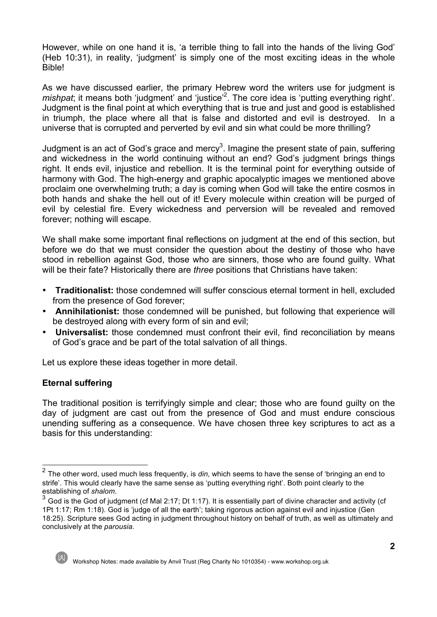However, while on one hand it is, 'a terrible thing to fall into the hands of the living God' (Heb 10:31), in reality, 'judgment' is simply one of the most exciting ideas in the whole Bible!

As we have discussed earlier, the primary Hebrew word the writers use for judgment is mishpat; it means both 'judgment' and 'justice'<sup>2</sup>. The core idea is 'putting everything right'. Judgment is the final point at which everything that is true and just and good is established in triumph, the place where all that is false and distorted and evil is destroyed. In a universe that is corrupted and perverted by evil and sin what could be more thrilling?

Judgment is an act of God's grace and mercy<sup>3</sup>. Imagine the present state of pain, suffering and wickedness in the world continuing without an end? God's judgment brings things right. It ends evil, injustice and rebellion. It is the terminal point for everything outside of harmony with God. The high-energy and graphic apocalyptic images we mentioned above proclaim one overwhelming truth; a day is coming when God will take the entire cosmos in both hands and shake the hell out of it! Every molecule within creation will be purged of evil by celestial fire. Every wickedness and perversion will be revealed and removed forever; nothing will escape.

We shall make some important final reflections on judgment at the end of this section, but before we do that we must consider the question about the destiny of those who have stood in rebellion against God, those who are sinners, those who are found guilty. What will be their fate? Historically there are *three* positions that Christians have taken:

- **Traditionalist:** those condemned will suffer conscious eternal torment in hell, excluded from the presence of God forever;
- **Annihilationist:** those condemned will be punished, but following that experience will be destroyed along with every form of sin and evil;
- **Universalist:** those condemned must confront their evil, find reconciliation by means of God's grace and be part of the total salvation of all things.

Let us explore these ideas together in more detail.

## **Eternal suffering**

The traditional position is terrifyingly simple and clear; those who are found guilty on the day of judgment are cast out from the presence of God and must endure conscious unending suffering as a consequence. We have chosen three key scriptures to act as a basis for this understanding:

<sup>&</sup>lt;sup>2</sup> The other word, used much less frequently, is *din*, which seems to have the sense of 'bringing an end to strife'. This would clearly have the same sense as 'putting everything right'. Both point clearly to the

establishing of *shalom*.<br><sup>3</sup> God is the God of judgment (cf Mal 2:17; Dt 1:17). It is essentially part of divine character and activity (cf 1Pt 1:17; Rm 1:18). God is 'judge of all the earth'; taking rigorous action against evil and injustice (Gen 18:25). Scripture sees God acting in judgment throughout history on behalf of truth, as well as ultimately and conclusively at the *parousia.*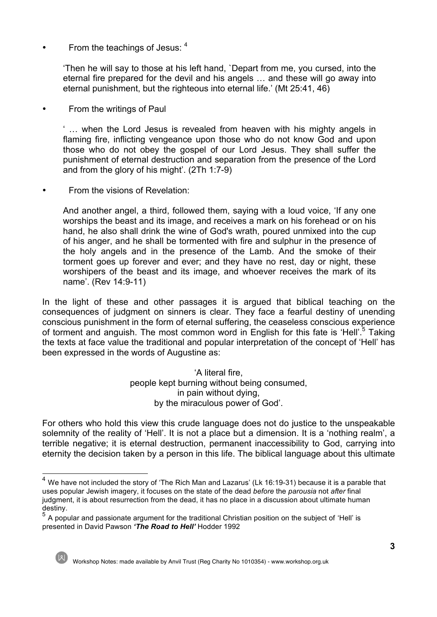• From the teachings of Jesus:  $4\overline{ }$ 

'Then he will say to those at his left hand, `Depart from me, you cursed, into the eternal fire prepared for the devil and his angels … and these will go away into eternal punishment, but the righteous into eternal life.' (Mt 25:41, 46)

• From the writings of Paul

' … when the Lord Jesus is revealed from heaven with his mighty angels in flaming fire, inflicting vengeance upon those who do not know God and upon those who do not obey the gospel of our Lord Jesus. They shall suffer the punishment of eternal destruction and separation from the presence of the Lord and from the glory of his might'. (2Th 1:7-9)

• From the visions of Revelation:

And another angel, a third, followed them, saying with a loud voice, 'If any one worships the beast and its image, and receives a mark on his forehead or on his hand, he also shall drink the wine of God's wrath, poured unmixed into the cup of his anger, and he shall be tormented with fire and sulphur in the presence of the holy angels and in the presence of the Lamb. And the smoke of their torment goes up forever and ever; and they have no rest, day or night, these worshipers of the beast and its image, and whoever receives the mark of its name'. (Rev 14:9-11)

In the light of these and other passages it is argued that biblical teaching on the consequences of judgment on sinners is clear. They face a fearful destiny of unending conscious punishment in the form of eternal suffering, the ceaseless conscious experience of torment and anguish. The most common word in English for this fate is 'Hell'.<sup>5</sup> Taking the texts at face value the traditional and popular interpretation of the concept of 'Hell' has been expressed in the words of Augustine as:

> 'A literal fire, people kept burning without being consumed, in pain without dying, by the miraculous power of God'.

For others who hold this view this crude language does not do justice to the unspeakable solemnity of the reality of 'Hell'. It is not a place but a dimension. It is a 'nothing realm', a terrible negative; it is eternal destruction, permanent inaccessibility to God, carrying into eternity the decision taken by a person in this life. The biblical language about this ultimate

<sup>4</sup> We have not included the story of 'The Rich Man and Lazarus' (Lk 16:19-31) because it is a parable that uses popular Jewish imagery, it focuses on the state of the dead *before* the *parousia* not *after* final judgment, it is about resurrection from the dead, it has no place in a discussion about ultimate human destiny.

 $<sup>5</sup>$  A popular and passionate argument for the traditional Christian position on the subject of 'Hell' is</sup> presented in David Pawson *'The Road to Hell'* Hodder 1992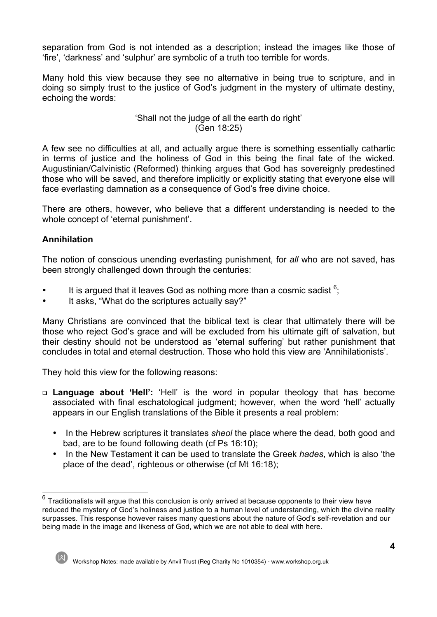separation from God is not intended as a description; instead the images like those of 'fire', 'darkness' and 'sulphur' are symbolic of a truth too terrible for words.

Many hold this view because they see no alternative in being true to scripture, and in doing so simply trust to the justice of God's judgment in the mystery of ultimate destiny, echoing the words:

## 'Shall not the judge of all the earth do right' (Gen 18:25)

A few see no difficulties at all, and actually argue there is something essentially cathartic in terms of justice and the holiness of God in this being the final fate of the wicked. Augustinian/Calvinistic (Reformed) thinking argues that God has sovereignly predestined those who will be saved, and therefore implicitly or explicitly stating that everyone else will face everlasting damnation as a consequence of God's free divine choice.

There are others, however, who believe that a different understanding is needed to the whole concept of 'eternal punishment'.

## **Annihilation**

The notion of conscious unending everlasting punishment, for *all* who are not saved, has been strongly challenged down through the centuries:

- It is argued that it leaves God as nothing more than a cosmic sadist  $6$ ;
- It asks, "What do the scriptures actually say?"

Many Christians are convinced that the biblical text is clear that ultimately there will be those who reject God's grace and will be excluded from his ultimate gift of salvation, but their destiny should not be understood as 'eternal suffering' but rather punishment that concludes in total and eternal destruction. Those who hold this view are 'Annihilationists'.

They hold this view for the following reasons:

- <sup>q</sup> **Language about 'Hell':** 'Hell' is the word in popular theology that has become associated with final eschatological judgment; however, when the word 'hell' actually appears in our English translations of the Bible it presents a real problem:
	- In the Hebrew scriptures it translates *sheol* the place where the dead, both good and bad, are to be found following death (cf Ps 16:10);
	- In the New Testament it can be used to translate the Greek *hades*, which is also 'the place of the dead', righteous or otherwise (cf Mt 16:18);

 $6$  Traditionalists will argue that this conclusion is only arrived at because opponents to their view have reduced the mystery of God's holiness and justice to a human level of understanding, which the divine reality surpasses. This response however raises many questions about the nature of God's self-revelation and our being made in the image and likeness of God, which we are not able to deal with here.

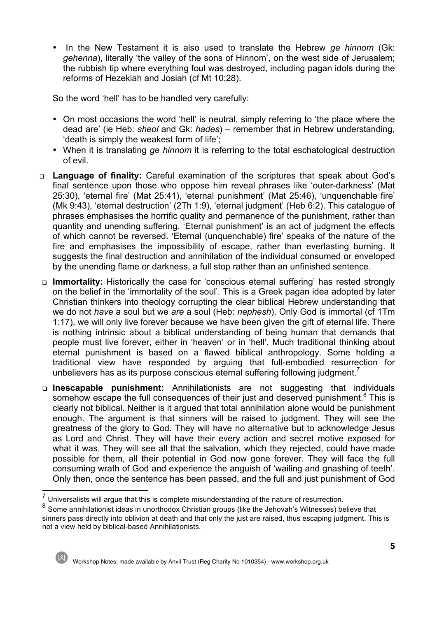• In the New Testament it is also used to translate the Hebrew *ge hinnom* (Gk: *gehenna*), literally 'the valley of the sons of Hinnom', on the west side of Jerusalem; the rubbish tip where everything foul was destroyed, including pagan idols during the reforms of Hezekiah and Josiah (cf Mt 10:28).

So the word 'hell' has to be handled very carefully:

- On most occasions the word 'hell' is neutral, simply referring to 'the place where the dead are' (ie Heb: *sheol* and Gk: *hades*) – remember that in Hebrew understanding, 'death is simply the weakest form of life';
- When it is translating *ge hinnom* it is referring to the total eschatological destruction of evil.
- <sup>q</sup> **Language of finality:** Careful examination of the scriptures that speak about God's final sentence upon those who oppose him reveal phrases like 'outer-darkness' (Mat 25:30), 'eternal fire' (Mat 25:41), 'eternal punishment' (Mat 25:46), 'unquenchable fire' (Mk 9:43), 'eternal destruction' (2Th 1:9), 'eternal judgment' (Heb 6:2). This catalogue of phrases emphasises the horrific quality and permanence of the punishment, rather than quantity and unending suffering. 'Eternal punishment' is an act of judgment the effects of which cannot be reversed. 'Eternal (unquenchable) fire' speaks of the nature of the fire and emphasises the impossibility of escape, rather than everlasting burning. It suggests the final destruction and annihilation of the individual consumed or enveloped by the unending flame or darkness, a full stop rather than an unfinished sentence.
- <sup>q</sup> **Immortality:** Historically the case for 'conscious eternal suffering' has rested strongly on the belief in the 'immortality of the soul'. This is a Greek pagan idea adopted by later Christian thinkers into theology corrupting the clear biblical Hebrew understanding that we do not *have* a soul but we *are* a soul (Heb: *nephesh*). Only God is immortal (cf 1Tm 1:17), we will only live forever because we have been given the gift of eternal life. There is nothing intrinsic about a biblical understanding of being human that demands that people must live forever, either in 'heaven' or in 'hell'. Much traditional thinking about eternal punishment is based on a flawed biblical anthropology. Some holding a traditional view have responded by arguing that full-embodied resurrection for unbelievers has as its purpose conscious eternal suffering following judgment.<sup>7</sup>
- <sup>q</sup> **Inescapable punishment:** Annihilationists are not suggesting that individuals somehow escape the full consequences of their just and deserved punishment.<sup>8</sup> This is clearly not biblical. Neither is it argued that total annihilation alone would be punishment enough. The argument is that sinners will be raised to judgment. They will see the greatness of the glory to God. They will have no alternative but to acknowledge Jesus as Lord and Christ. They will have their every action and secret motive exposed for what it was. They will see all that the salvation, which they rejected, could have made possible for them, all their potential in God now gone forever. They will face the full consuming wrath of God and experience the anguish of 'wailing and gnashing of teeth'. Only then, once the sentence has been passed, and the full and just punishment of God

 $<sup>7</sup>$  Universalists will argue that this is complete misunderstanding of the nature of resurrection.</sup>

<sup>&</sup>lt;sup>8</sup> Some annihilationist ideas in unorthodox Christian groups (like the Jehovah's Witnesses) believe that sinners pass directly into oblivion at death and that only the just are raised, thus escaping judgment. This is not a view held by biblical-based Annihilationists.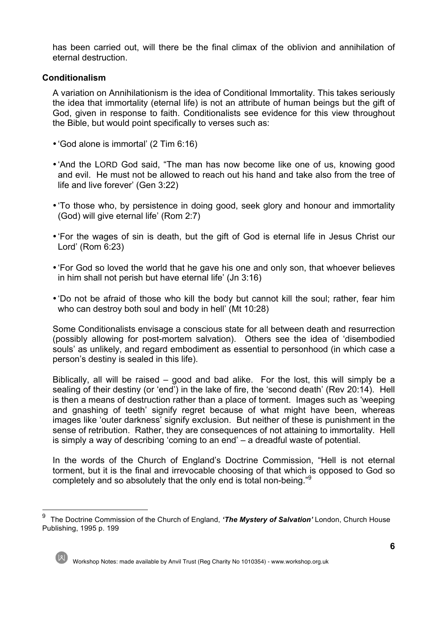has been carried out, will there be the final climax of the oblivion and annihilation of eternal destruction.

#### **Conditionalism**

A variation on Annihilationism is the idea of Conditional Immortality. This takes seriously the idea that immortality (eternal life) is not an attribute of human beings but the gift of God, given in response to faith. Conditionalists see evidence for this view throughout the Bible, but would point specifically to verses such as:

- 'God alone is immortal' (2 Tim 6:16)
- 'And the LORD God said, "The man has now become like one of us, knowing good and evil. He must not be allowed to reach out his hand and take also from the tree of life and live forever' (Gen 3:22)
- 'To those who, by persistence in doing good, seek glory and honour and immortality (God) will give eternal life' (Rom 2:7)
- 'For the wages of sin is death, but the gift of God is eternal life in Jesus Christ our Lord' (Rom 6:23)
- 'For God so loved the world that he gave his one and only son, that whoever believes in him shall not perish but have eternal life' (Jn 3:16)
- 'Do not be afraid of those who kill the body but cannot kill the soul; rather, fear him who can destroy both soul and body in hell' (Mt 10:28)

Some Conditionalists envisage a conscious state for all between death and resurrection (possibly allowing for post-mortem salvation). Others see the idea of 'disembodied souls' as unlikely, and regard embodiment as essential to personhood (in which case a person's destiny is sealed in this life).

Biblically, all will be raised – good and bad alike. For the lost, this will simply be a sealing of their destiny (or 'end') in the lake of fire, the 'second death' (Rev 20:14). Hell is then a means of destruction rather than a place of torment. Images such as 'weeping and gnashing of teeth' signify regret because of what might have been, whereas images like 'outer darkness' signify exclusion. But neither of these is punishment in the sense of retribution. Rather, they are consequences of not attaining to immortality. Hell is simply a way of describing 'coming to an end' – a dreadful waste of potential.

In the words of the Church of England's Doctrine Commission, "Hell is not eternal torment, but it is the final and irrevocable choosing of that which is opposed to God so completely and so absolutely that the only end is total non-being."9

<sup>9</sup> The Doctrine Commission of the Church of England, *'The Mystery of Salvation'* London, Church House Publishing, 1995 p. 199



-

Workshop Notes: made available by Anvil Trust (Reg Charity No 1010354) - www.workshop.org.uk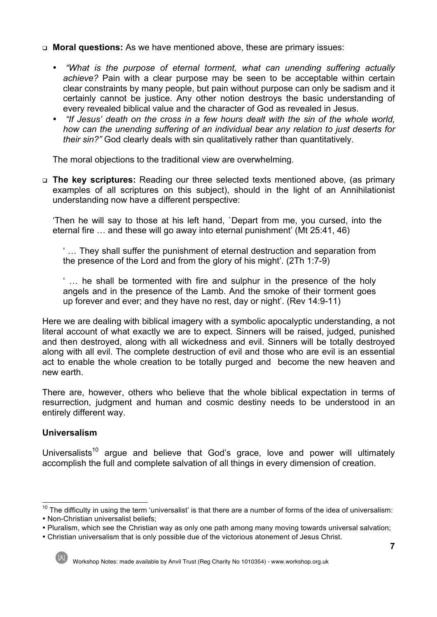<sup>q</sup> **Moral questions:** As we have mentioned above, these are primary issues:

- *"What is the purpose of eternal torment, what can unending suffering actually achieve?* Pain with a clear purpose may be seen to be acceptable within certain clear constraints by many people, but pain without purpose can only be sadism and it certainly cannot be justice. Any other notion destroys the basic understanding of every revealed biblical value and the character of God as revealed in Jesus.
- *"If Jesus' death on the cross in a few hours dealt with the sin of the whole world, how can the unending suffering of an individual bear any relation to just deserts for their sin?"* God clearly deals with sin qualitatively rather than quantitatively.

The moral objections to the traditional view are overwhelming.

<sup>q</sup> **The key scriptures:** Reading our three selected texts mentioned above, (as primary examples of all scriptures on this subject), should in the light of an Annihilationist understanding now have a different perspective:

'Then he will say to those at his left hand, `Depart from me, you cursed, into the eternal fire … and these will go away into eternal punishment' (Mt 25:41, 46)

' … They shall suffer the punishment of eternal destruction and separation from the presence of the Lord and from the glory of his might'. (2Th 1:7-9)

' … he shall be tormented with fire and sulphur in the presence of the holy angels and in the presence of the Lamb. And the smoke of their torment goes up forever and ever; and they have no rest, day or night'. (Rev 14:9-11)

Here we are dealing with biblical imagery with a symbolic apocalyptic understanding, a not literal account of what exactly we are to expect. Sinners will be raised, judged, punished and then destroyed, along with all wickedness and evil. Sinners will be totally destroyed along with all evil. The complete destruction of evil and those who are evil is an essential act to enable the whole creation to be totally purged and become the new heaven and new earth.

There are, however, others who believe that the whole biblical expectation in terms of resurrection, judgment and human and cosmic destiny needs to be understood in an entirely different way.

## **Universalism**

Universalists<sup>10</sup> argue and believe that God's grace, love and power will ultimately accomplish the full and complete salvation of all things in every dimension of creation.

<sup>•</sup> Christian universalism that is only possible due of the victorious atonement of Jesus Christ.



 $10$  The difficulty in using the term 'universalist' is that there are a number of forms of the idea of universalism:

<sup>•</sup> Non-Christian universalist beliefs;

<sup>•</sup> Pluralism, which see the Christian way as only one path among many moving towards universal salvation;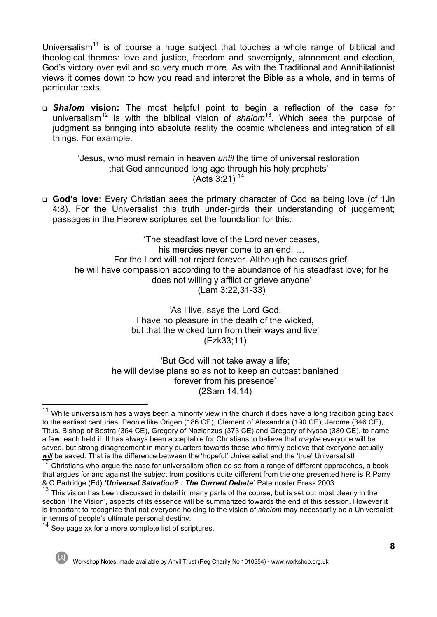Universalism<sup>11</sup> is of course a huge subject that touches a whole range of biblical and theological themes: love and justice, freedom and sovereignty, atonement and election, God's victory over evil and so very much more. As with the Traditional and Annihilationist views it comes down to how you read and interpret the Bible as a whole, and in terms of particular texts.

<sup>q</sup> *Shalom* **vision:** The most helpful point to begin a reflection of the case for universalism12 is with the biblical vision of *shalom*13. Which sees the purpose of judgment as bringing into absolute reality the cosmic wholeness and integration of all things. For example:

'Jesus, who must remain in heaven *until* the time of universal restoration that God announced long ago through his holy prophets' (Acts 3:21) <sup>14</sup>

<sup>q</sup> **God's love:** Every Christian sees the primary character of God as being love (cf 1Jn 4:8). For the Universalist this truth under-girds their understanding of judgement; passages in the Hebrew scriptures set the foundation for this:

'The steadfast love of the Lord never ceases, his mercies never come to an end; … For the Lord will not reject forever. Although he causes grief, he will have compassion according to the abundance of his steadfast love; for he does not willingly afflict or grieve anyone' (Lam 3:22,31-33)

> 'As I live, says the Lord God, I have no pleasure in the death of the wicked, but that the wicked turn from their ways and live' (Ezk33;11)

'But God will not take away a life; he will devise plans so as not to keep an outcast banished forever from his presence' (2Sam 14:14)

 $11$  While universalism has always been a minority view in the church it does have a long tradition going back to the earliest centuries. People like Origen (186 CE), Clement of Alexandria (190 CE), Jerome (346 CE), Titus, Bishop of Bostra (364 CE), Gregory of Nazianzus (373 CE) and Gregory of Nyssa (380 CE), to name a few, each held it. It has always been acceptable for Christians to believe that *maybe* everyone will be saved, but strong disagreement in many quarters towards those who firmly believe that everyone actually *will* be saved. That is the difference between the 'hopeful' Universalist and the 'true' Universalist!

 $\frac{12}{12}$  Christians who argue the case for universalism often do so from a range of different approaches, a book that argues for and against the subject from positions quite different from the one presented here is R Parry & C Partridge (Ed) *'Universal Salvation? : The Current Debate'* Paternoster Press 2003.

<sup>&</sup>lt;sup>13</sup> This vision has been discussed in detail in many parts of the course, but is set out most clearly in the section 'The Vision', aspects of its essence will be summarized towards the end of this session. However it is important to recognize that not everyone holding to the vision of *shalom* may necessarily be a Universalist in terms of people's ultimate personal destiny.

 $14$  See page xx for a more complete list of scriptures.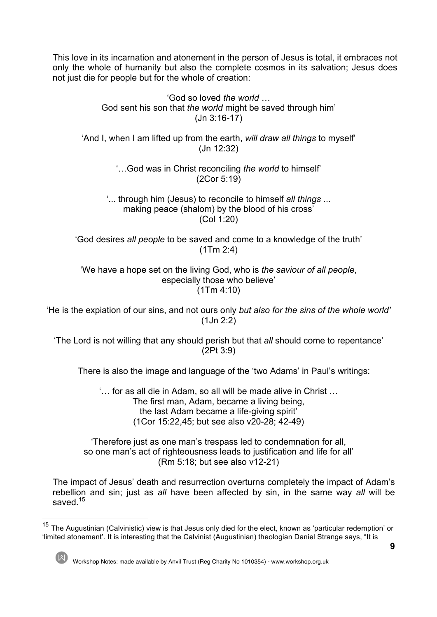This love in its incarnation and atonement in the person of Jesus is total, it embraces not only the whole of humanity but also the complete cosmos in its salvation; Jesus does not just die for people but for the whole of creation:

> 'God so loved *the world* … God sent his son that *the world* might be saved through him' (Jn 3:16-17)

'And I, when I am lifted up from the earth, *will draw all things* to myself' (Jn 12:32)

> '…God was in Christ reconciling *the world* to himself' (2Cor 5:19)

'... through him (Jesus) to reconcile to himself *all things* ... making peace (shalom) by the blood of his cross' (Col 1:20)

'God desires *all people* to be saved and come to a knowledge of the truth' (1Tm 2:4)

'We have a hope set on the living God, who is *the saviour of all people*, especially those who believe' (1Tm 4:10)

'He is the expiation of our sins, and not ours only *but also for the sins of the whole world'* (1Jn 2:2)

'The Lord is not willing that any should perish but that *all* should come to repentance' (2Pt 3:9)

There is also the image and language of the 'two Adams' in Paul's writings:

'… for as all die in Adam, so all will be made alive in Christ … The first man, Adam, became a living being, the last Adam became a life-giving spirit' (1Cor 15:22,45; but see also v20-28; 42-49)

'Therefore just as one man's trespass led to condemnation for all, so one man's act of righteousness leads to justification and life for all' (Rm 5:18; but see also v12-21)

The impact of Jesus' death and resurrection overturns completely the impact of Adam's rebellion and sin; just as *all* have been affected by sin, in the same way *all* will be saved<sup>15</sup>

<sup>15</sup> The Augustinian (Calvinistic) view is that Jesus only died for the elect, known as 'particular redemption' or 'limited atonement'. It is interesting that the Calvinist (Augustinian) theologian Daniel Strange says, "It is

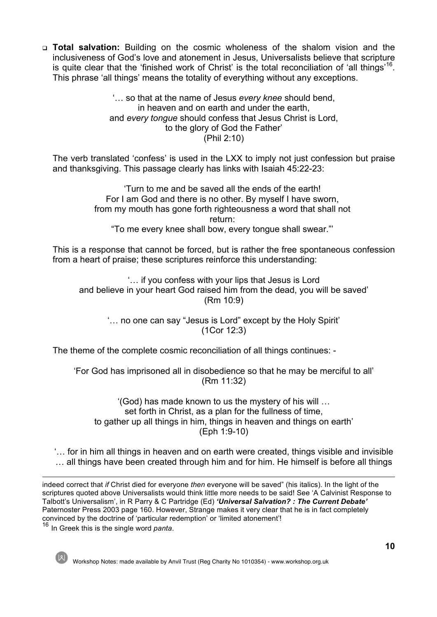<sup>q</sup> **Total salvation:** Building on the cosmic wholeness of the shalom vision and the inclusiveness of God's love and atonement in Jesus, Universalists believe that scripture is quite clear that the 'finished work of Christ' is the total reconciliation of 'all things'<sup>16</sup>. This phrase 'all things' means the totality of everything without any exceptions.

> '… so that at the name of Jesus *every knee* should bend, in heaven and on earth and under the earth, and *every tongue* should confess that Jesus Christ is Lord, to the glory of God the Father' (Phil 2:10)

The verb translated 'confess' is used in the LXX to imply not just confession but praise and thanksgiving. This passage clearly has links with Isaiah 45:22-23:

> 'Turn to me and be saved all the ends of the earth! For I am God and there is no other. By myself I have sworn, from my mouth has gone forth righteousness a word that shall not return: "To me every knee shall bow, every tongue shall swear."'

This is a response that cannot be forced, but is rather the free spontaneous confession from a heart of praise; these scriptures reinforce this understanding:

'… if you confess with your lips that Jesus is Lord and believe in your heart God raised him from the dead, you will be saved' (Rm 10:9)

'… no one can say "Jesus is Lord" except by the Holy Spirit' (1Cor 12:3)

The theme of the complete cosmic reconciliation of all things continues: -

'For God has imprisoned all in disobedience so that he may be merciful to all' (Rm 11:32)

'(God) has made known to us the mystery of his will … set forth in Christ, as a plan for the fullness of time, to gather up all things in him, things in heaven and things on earth' (Eph 1:9-10)

'… for in him all things in heaven and on earth were created, things visible and invisible … all things have been created through him and for him. He himself is before all things

l indeed correct that *if* Christ died for everyone *then* everyone will be saved" (his italics). In the light of the scriptures quoted above Universalists would think little more needs to be said! See 'A Calvinist Response to Talbott's Universalism', in R Parry & C Partridge (Ed) *'Universal Salvation? : The Current Debate'* Paternoster Press 2003 page 160. However, Strange makes it very clear that he is in fact completely convinced by the doctrine of 'particular redemption' or 'limited atonement'!

<sup>16</sup> In Greek this is the single word *panta*.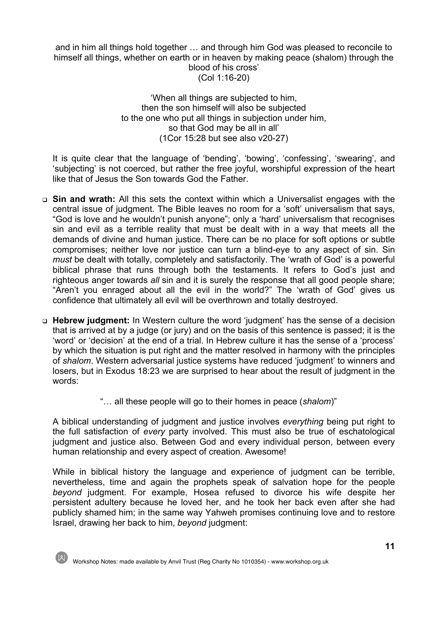and in him all things hold together … and through him God was pleased to reconcile to himself all things, whether on earth or in heaven by making peace (shalom) through the blood of his cross' (Col 1:16-20)

> 'When all things are subjected to him, then the son himself will also be subjected to the one who put all things in subjection under him, so that God may be all in all' (1Cor 15:28 but see also v20-27)

It is quite clear that the language of 'bending', 'bowing', 'confessing', 'swearing', and 'subjecting' is not coerced, but rather the free joyful, worshipful expression of the heart like that of Jesus the Son towards God the Father.

- <sup>q</sup> **Sin and wrath:** All this sets the context within which a Universalist engages with the central issue of judgment. The Bible leaves no room for a 'soft' universalism that says, "God is love and he wouldn't punish anyone"; only a 'hard' universalism that recognises sin and evil as a terrible reality that must be dealt with in a way that meets all the demands of divine and human justice. There can be no place for soft options or subtle compromises; neither love nor justice can turn a blind-eye to any aspect of sin. Sin *must* be dealt with totally, completely and satisfactorily. The 'wrath of God' is a powerful biblical phrase that runs through both the testaments. It refers to God's just and righteous anger towards *all* sin and it is surely the response that all good people share; "Aren't you enraged about all the evil in the world?" The 'wrath of God' gives us confidence that ultimately all evil will be overthrown and totally destroyed.
- <sup>q</sup> **Hebrew judgment:** In Western culture the word 'judgment' has the sense of a decision that is arrived at by a judge (or jury) and on the basis of this sentence is passed; it is the 'word' or 'decision' at the end of a trial. In Hebrew culture it has the sense of a 'process' by which the situation is put right and the matter resolved in harmony with the principles of *shalom*. Western adversarial justice systems have reduced 'judgment' to winners and losers, but in Exodus 18:23 we are surprised to hear about the result of judgment in the words:

"… all these people will go to their homes in peace (*shalom*)"

A biblical understanding of judgment and justice involves *everything* being put right to the full satisfaction of *every* party involved. This must also be true of eschatological judgment and justice also. Between God and every individual person, between every human relationship and every aspect of creation. Awesome!

While in biblical history the language and experience of judgment can be terrible, nevertheless, time and again the prophets speak of salvation hope for the people *beyond* judgment. For example, Hosea refused to divorce his wife despite her persistent adultery because he loved her, and he took her back even after she had publicly shamed him; in the same way Yahweh promises continuing love and to restore Israel, drawing her back to him, *beyond* judgment:

Workshop Notes: made available by Anvil Trust (Reg Charity No 1010354) - www.workshop.org.uk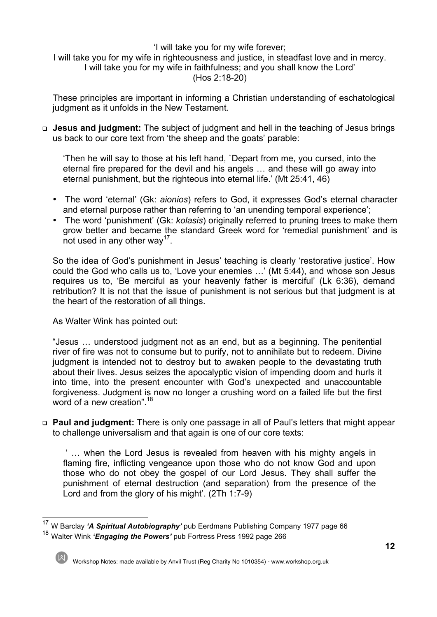#### 'I will take you for my wife forever; I will take you for my wife in righteousness and justice, in steadfast love and in mercy. I will take you for my wife in faithfulness; and you shall know the Lord' (Hos 2:18-20)

These principles are important in informing a Christian understanding of eschatological judgment as it unfolds in the New Testament.

<sup>q</sup> **Jesus and judgment:** The subject of judgment and hell in the teaching of Jesus brings us back to our core text from 'the sheep and the goats' parable:

'Then he will say to those at his left hand, `Depart from me, you cursed, into the eternal fire prepared for the devil and his angels … and these will go away into eternal punishment, but the righteous into eternal life.' (Mt 25:41, 46)

- The word 'eternal' (Gk: *aionios*) refers to God, it expresses God's eternal character and eternal purpose rather than referring to 'an unending temporal experience';
- The word 'punishment' (Gk: *kolasis*) originally referred to pruning trees to make them grow better and became the standard Greek word for 'remedial punishment' and is not used in any other way<sup>17</sup>.

So the idea of God's punishment in Jesus' teaching is clearly 'restorative justice'. How could the God who calls us to, 'Love your enemies …' (Mt 5:44), and whose son Jesus requires us to, 'Be merciful as your heavenly father is merciful' (Lk 6:36), demand retribution? It is not that the issue of punishment is not serious but that judgment is at the heart of the restoration of all things.

As Walter Wink has pointed out:

"Jesus … understood judgment not as an end, but as a beginning. The penitential river of fire was not to consume but to purify, not to annihilate but to redeem. Divine judgment is intended not to destroy but to awaken people to the devastating truth about their lives. Jesus seizes the apocalyptic vision of impending doom and hurls it into time, into the present encounter with God's unexpected and unaccountable forgiveness. Judgment is now no longer a crushing word on a failed life but the first word of a new creation".<sup>18</sup>

<sup>q</sup> **Paul and judgment:** There is only one passage in all of Paul's letters that might appear to challenge universalism and that again is one of our core texts:

' … when the Lord Jesus is revealed from heaven with his mighty angels in flaming fire, inflicting vengeance upon those who do not know God and upon those who do not obey the gospel of our Lord Jesus. They shall suffer the punishment of eternal destruction (and separation) from the presence of the Lord and from the glory of his might'. (2Th 1:7-9)

<sup>17</sup> W Barclay *'A Spiritual Autobiography'* pub Eerdmans Publishing Company 1977 page 66 <sup>18</sup> Walter Wink *'Engaging the Powers'* pub Fortress Press 1992 page 266

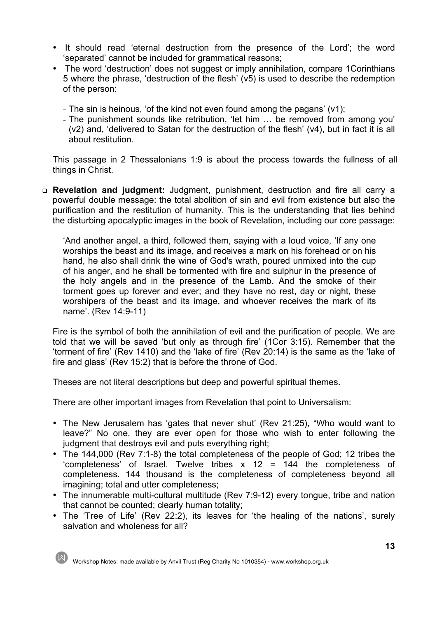- It should read 'eternal destruction from the presence of the Lord'; the word 'separated' cannot be included for grammatical reasons;
- The word 'destruction' does not suggest or imply annihilation, compare 1 Corinthians 5 where the phrase, 'destruction of the flesh' (v5) is used to describe the redemption of the person:
	- The sin is heinous, 'of the kind not even found among the pagans' (v1);
	- The punishment sounds like retribution, 'let him … be removed from among you' (v2) and, 'delivered to Satan for the destruction of the flesh' (v4), but in fact it is all about restitution.

This passage in 2 Thessalonians 1:9 is about the process towards the fullness of all things in Christ.

<sup>q</sup> **Revelation and judgment:** Judgment, punishment, destruction and fire all carry a powerful double message: the total abolition of sin and evil from existence but also the purification and the restitution of humanity. This is the understanding that lies behind the disturbing apocalyptic images in the book of Revelation, including our core passage:

'And another angel, a third, followed them, saying with a loud voice, 'If any one worships the beast and its image, and receives a mark on his forehead or on his hand, he also shall drink the wine of God's wrath, poured unmixed into the cup of his anger, and he shall be tormented with fire and sulphur in the presence of the holy angels and in the presence of the Lamb. And the smoke of their torment goes up forever and ever; and they have no rest, day or night, these worshipers of the beast and its image, and whoever receives the mark of its name'. (Rev 14:9-11)

Fire is the symbol of both the annihilation of evil and the purification of people. We are told that we will be saved 'but only as through fire' (1Cor 3:15). Remember that the 'torment of fire' (Rev 1410) and the 'lake of fire' (Rev 20:14) is the same as the 'lake of fire and glass' (Rev 15:2) that is before the throne of God.

Theses are not literal descriptions but deep and powerful spiritual themes.

There are other important images from Revelation that point to Universalism:

- The New Jerusalem has 'gates that never shut' (Rev 21:25), "Who would want to leave?" No one, they are ever open for those who wish to enter following the judgment that destroys evil and puts everything right;
- The 144,000 (Rev 7:1-8) the total completeness of the people of God; 12 tribes the 'completeness' of Israel. Twelve tribes x 12 = 144 the completeness of completeness. 144 thousand is the completeness of completeness beyond all imagining; total and utter completeness;
- The innumerable multi-cultural multitude (Rev 7:9-12) every tongue, tribe and nation that cannot be counted; clearly human totality;
- The 'Tree of Life' (Rev 22:2), its leaves for 'the healing of the nations', surely salvation and wholeness for all?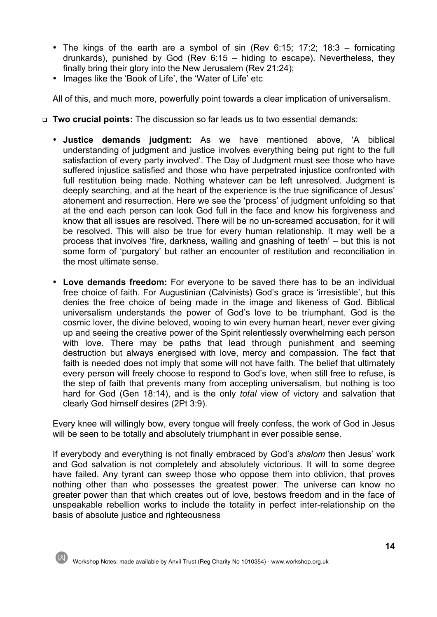- The kings of the earth are a symbol of sin (Rev 6:15; 17:2; 18:3 fornicating drunkards), punished by God (Rev 6:15 – hiding to escape). Nevertheless, they finally bring their glory into the New Jerusalem (Rev 21:24);
- Images like the 'Book of Life', the 'Water of Life' etc

All of this, and much more, powerfully point towards a clear implication of universalism.

- <sup>q</sup> **Two crucial points:** The discussion so far leads us to two essential demands:
	- **Justice demands judgment:** As we have mentioned above, 'A biblical understanding of judgment and justice involves everything being put right to the full satisfaction of every party involved'. The Day of Judgment must see those who have suffered injustice satisfied and those who have perpetrated injustice confronted with full restitution being made. Nothing whatever can be left unresolved. Judgment is deeply searching, and at the heart of the experience is the true significance of Jesus' atonement and resurrection. Here we see the 'process' of judgment unfolding so that at the end each person can look God full in the face and know his forgiveness and know that all issues are resolved. There will be no un-screamed accusation, for it will be resolved. This will also be true for every human relationship. It may well be a process that involves 'fire, darkness, wailing and gnashing of teeth' – but this is not some form of 'purgatory' but rather an encounter of restitution and reconciliation in the most ultimate sense.
	- **Love demands freedom:** For everyone to be saved there has to be an individual free choice of faith. For Augustinian (Calvinists) God's grace is 'irresistible', but this denies the free choice of being made in the image and likeness of God. Biblical universalism understands the power of God's love to be triumphant. God is the cosmic lover, the divine beloved, wooing to win every human heart, never ever giving up and seeing the creative power of the Spirit relentlessly overwhelming each person with love. There may be paths that lead through punishment and seeming destruction but always energised with love, mercy and compassion. The fact that faith is needed does not imply that some will not have faith. The belief that ultimately every person will freely choose to respond to God's love, when still free to refuse, is the step of faith that prevents many from accepting universalism, but nothing is too hard for God (Gen 18:14), and is the only *total* view of victory and salvation that clearly God himself desires (2Pt 3:9).

Every knee will willingly bow, every tongue will freely confess, the work of God in Jesus will be seen to be totally and absolutely triumphant in ever possible sense.

If everybody and everything is not finally embraced by God's *shalom* then Jesus' work and God salvation is not completely and absolutely victorious. It will to some degree have failed. Any tyrant can sweep those who oppose them into oblivion, that proves nothing other than who possesses the greatest power. The universe can know no greater power than that which creates out of love, bestows freedom and in the face of unspeakable rebellion works to include the totality in perfect inter-relationship on the basis of absolute justice and righteousness

Workshop Notes: made available by Anvil Trust (Reg Charity No 1010354) - www.workshop.org.uk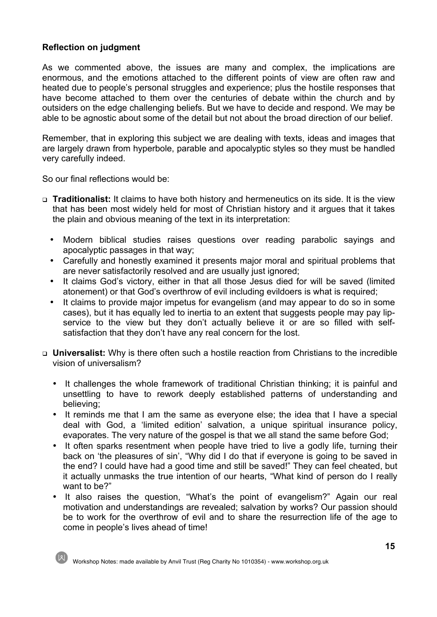## **Reflection on judgment**

As we commented above, the issues are many and complex, the implications are enormous, and the emotions attached to the different points of view are often raw and heated due to people's personal struggles and experience; plus the hostile responses that have become attached to them over the centuries of debate within the church and by outsiders on the edge challenging beliefs. But we have to decide and respond. We may be able to be agnostic about some of the detail but not about the broad direction of our belief.

Remember, that in exploring this subject we are dealing with texts, ideas and images that are largely drawn from hyperbole, parable and apocalyptic styles so they must be handled very carefully indeed.

So our final reflections would be:

- <sup>q</sup> **Traditionalist:** It claims to have both history and hermeneutics on its side. It is the view that has been most widely held for most of Christian history and it argues that it takes the plain and obvious meaning of the text in its interpretation:
	- Modern biblical studies raises questions over reading parabolic sayings and apocalyptic passages in that way;
	- Carefully and honestly examined it presents major moral and spiritual problems that are never satisfactorily resolved and are usually just ignored;
	- It claims God's victory, either in that all those Jesus died for will be saved (limited atonement) or that God's overthrow of evil including evildoers is what is required;
	- It claims to provide major impetus for evangelism (and may appear to do so in some cases), but it has equally led to inertia to an extent that suggests people may pay lipservice to the view but they don't actually believe it or are so filled with selfsatisfaction that they don't have any real concern for the lost.
- <sup>q</sup> **Universalist:** Why is there often such a hostile reaction from Christians to the incredible vision of universalism?
	- It challenges the whole framework of traditional Christian thinking; it is painful and unsettling to have to rework deeply established patterns of understanding and believing;
	- It reminds me that I am the same as everyone else; the idea that I have a special deal with God, a 'limited edition' salvation, a unique spiritual insurance policy, evaporates. The very nature of the gospel is that we all stand the same before God;
	- It often sparks resentment when people have tried to live a godly life, turning their back on 'the pleasures of sin', "Why did I do that if everyone is going to be saved in the end? I could have had a good time and still be saved!" They can feel cheated, but it actually unmasks the true intention of our hearts, "What kind of person do I really want to be?"
	- It also raises the question, "What's the point of evangelism?" Again our real motivation and understandings are revealed; salvation by works? Our passion should be to work for the overthrow of evil and to share the resurrection life of the age to come in people's lives ahead of time!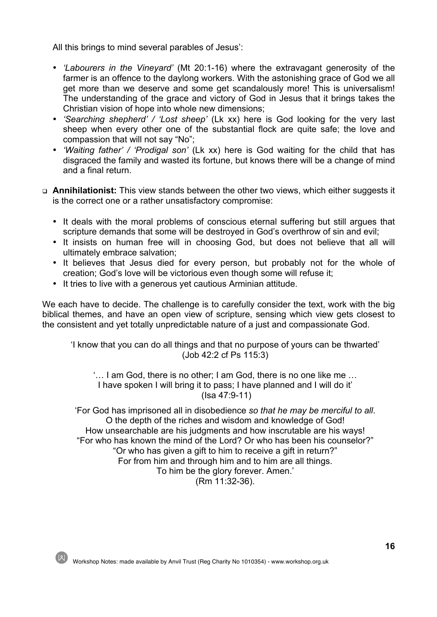All this brings to mind several parables of Jesus':

- *'Labourers in the Vineyard'* (Mt 20:1-16) where the extravagant generosity of the farmer is an offence to the daylong workers. With the astonishing grace of God we all get more than we deserve and some get scandalously more! This is universalism! The understanding of the grace and victory of God in Jesus that it brings takes the Christian vision of hope into whole new dimensions;
- *'Searching shepherd' / 'Lost sheep'* (Lk xx) here is God looking for the very last sheep when every other one of the substantial flock are quite safe; the love and compassion that will not say "No";
- *'Waiting father' / 'Prodigal son'* (Lk xx) here is God waiting for the child that has disgraced the family and wasted its fortune, but knows there will be a change of mind and a final return.
- <sup>q</sup> **Annihilationist:** This view stands between the other two views, which either suggests it is the correct one or a rather unsatisfactory compromise:
	- It deals with the moral problems of conscious eternal suffering but still argues that scripture demands that some will be destroyed in God's overthrow of sin and evil;
	- It insists on human free will in choosing God, but does not believe that all will ultimately embrace salvation;
	- It believes that Jesus died for every person, but probably not for the whole of creation; God's love will be victorious even though some will refuse it;
	- It tries to live with a generous yet cautious Arminian attitude.

We each have to decide. The challenge is to carefully consider the text, work with the big biblical themes, and have an open view of scripture, sensing which view gets closest to the consistent and yet totally unpredictable nature of a just and compassionate God.

'I know that you can do all things and that no purpose of yours can be thwarted' (Job 42:2 cf Ps 115:3)

'… I am God, there is no other; I am God, there is no one like me … I have spoken I will bring it to pass; I have planned and I will do it' (Isa 47:9-11)

'For God has imprisoned all in disobedience *so that he may be merciful to all*. O the depth of the riches and wisdom and knowledge of God! How unsearchable are his judgments and how inscrutable are his ways! "For who has known the mind of the Lord? Or who has been his counselor?" "Or who has given a gift to him to receive a gift in return?" For from him and through him and to him are all things. To him be the glory forever. Amen.' (Rm 11:32-36).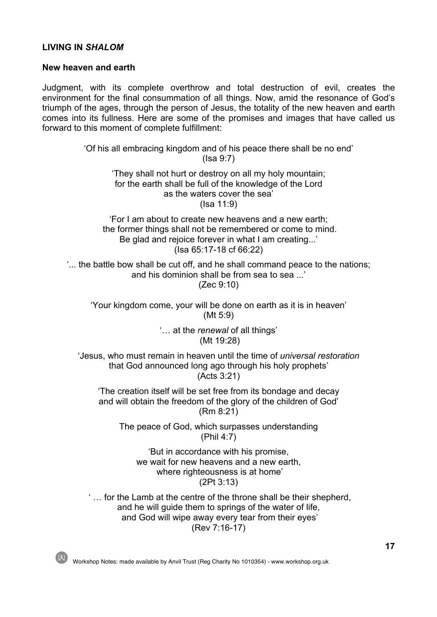#### **LIVING IN** *SHALOM*

#### **New heaven and earth**

Judgment, with its complete overthrow and total destruction of evil, creates the environment for the final consummation of all things. Now, amid the resonance of God's triumph of the ages, through the person of Jesus, the totality of the new heaven and earth comes into its fullness. Here are some of the promises and images that have called us forward to this moment of complete fulfillment:

> 'Of his all embracing kingdom and of his peace there shall be no end' (Isa 9:7)

> > 'They shall not hurt or destroy on all my holy mountain; for the earth shall be full of the knowledge of the Lord as the waters cover the sea' (Isa 11:9)

'For I am about to create new heavens and a new earth; the former things shall not be remembered or come to mind. Be glad and rejoice forever in what I am creating...' (Isa 65:17-18 cf 66:22)

'... the battle bow shall be cut off, and he shall command peace to the nations; and his dominion shall be from sea to sea ...' (Zec 9:10)

'Your kingdom come, your will be done on earth as it is in heaven' (Mt 5:9)

> '… at the *renewal* of all things' (Mt 19:28)

'Jesus, who must remain in heaven until the time of *universal restoration* that God announced long ago through his holy prophets' (Acts 3:21)

'The creation itself will be set free from its bondage and decay and will obtain the freedom of the glory of the children of God' (Rm 8:21)

The peace of God, which surpasses understanding (Phil 4:7)

'But in accordance with his promise, we wait for new heavens and a new earth. where righteousness is at home' (2Pt 3:13)

' … for the Lamb at the centre of the throne shall be their shepherd, and he will guide them to springs of the water of life, and God will wipe away every tear from their eyes' (Rev 7:16-17)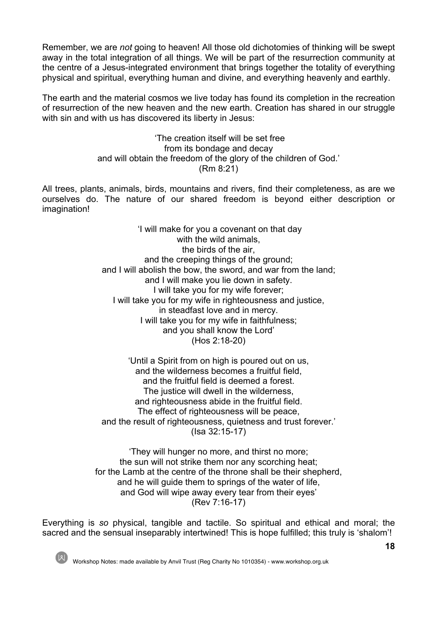Remember, we are *not* going to heaven! All those old dichotomies of thinking will be swept away in the total integration of all things. We will be part of the resurrection community at the centre of a Jesus-integrated environment that brings together the totality of everything physical and spiritual, everything human and divine, and everything heavenly and earthly.

The earth and the material cosmos we live today has found its completion in the recreation of resurrection of the new heaven and the new earth. Creation has shared in our struggle with sin and with us has discovered its liberty in Jesus:

> 'The creation itself will be set free from its bondage and decay and will obtain the freedom of the glory of the children of God.' (Rm 8:21)

All trees, plants, animals, birds, mountains and rivers, find their completeness, as are we ourselves do. The nature of our shared freedom is beyond either description or imagination!

> 'I will make for you a covenant on that day with the wild animals, the birds of the air, and the creeping things of the ground; and I will abolish the bow, the sword, and war from the land; and I will make you lie down in safety. I will take you for my wife forever; I will take you for my wife in righteousness and justice, in steadfast love and in mercy. I will take you for my wife in faithfulness; and you shall know the Lord' (Hos 2:18-20)

> 'Until a Spirit from on high is poured out on us, and the wilderness becomes a fruitful field, and the fruitful field is deemed a forest. The justice will dwell in the wilderness. and righteousness abide in the fruitful field. The effect of righteousness will be peace, and the result of righteousness, quietness and trust forever.' (Isa 32:15-17)

'They will hunger no more, and thirst no more; the sun will not strike them nor any scorching heat; for the Lamb at the centre of the throne shall be their shepherd, and he will guide them to springs of the water of life, and God will wipe away every tear from their eyes' (Rev 7:16-17)

Everything is *so* physical, tangible and tactile. So spiritual and ethical and moral; the sacred and the sensual inseparably intertwined! This is hope fulfilled; this truly is 'shalom'!

Workshop Notes: made available by Anvil Trust (Reg Charity No 1010354) - www.workshop.org.uk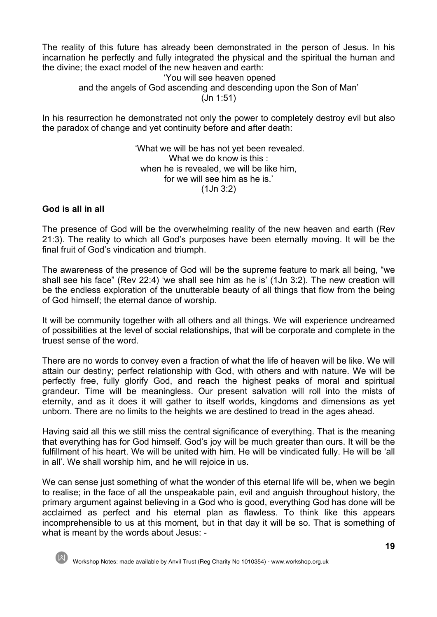The reality of this future has already been demonstrated in the person of Jesus. In his incarnation he perfectly and fully integrated the physical and the spiritual the human and the divine; the exact model of the new heaven and earth:

> 'You will see heaven opened and the angels of God ascending and descending upon the Son of Man' (Jn 1:51)

In his resurrection he demonstrated not only the power to completely destroy evil but also the paradox of change and yet continuity before and after death:

> 'What we will be has not yet been revealed. What we do know is this : when he is revealed, we will be like him. for we will see him as he is.' (1Jn 3:2)

## **God is all in all**

The presence of God will be the overwhelming reality of the new heaven and earth (Rev 21:3). The reality to which all God's purposes have been eternally moving. It will be the final fruit of God's vindication and triumph.

The awareness of the presence of God will be the supreme feature to mark all being, "we shall see his face" (Rev 22:4) 'we shall see him as he is' (1Jn 3:2). The new creation will be the endless exploration of the unutterable beauty of all things that flow from the being of God himself; the eternal dance of worship.

It will be community together with all others and all things. We will experience undreamed of possibilities at the level of social relationships, that will be corporate and complete in the truest sense of the word.

There are no words to convey even a fraction of what the life of heaven will be like. We will attain our destiny; perfect relationship with God, with others and with nature. We will be perfectly free, fully glorify God, and reach the highest peaks of moral and spiritual grandeur. Time will be meaningless. Our present salvation will roll into the mists of eternity, and as it does it will gather to itself worlds, kingdoms and dimensions as yet unborn. There are no limits to the heights we are destined to tread in the ages ahead.

Having said all this we still miss the central significance of everything. That is the meaning that everything has for God himself. God's joy will be much greater than ours. It will be the fulfillment of his heart. We will be united with him. He will be vindicated fully. He will be 'all in all'. We shall worship him, and he will rejoice in us.

We can sense just something of what the wonder of this eternal life will be, when we begin to realise; in the face of all the unspeakable pain, evil and anguish throughout history, the primary argument against believing in a God who is good, everything God has done will be acclaimed as perfect and his eternal plan as flawless. To think like this appears incomprehensible to us at this moment, but in that day it will be so. That is something of what is meant by the words about Jesus: -

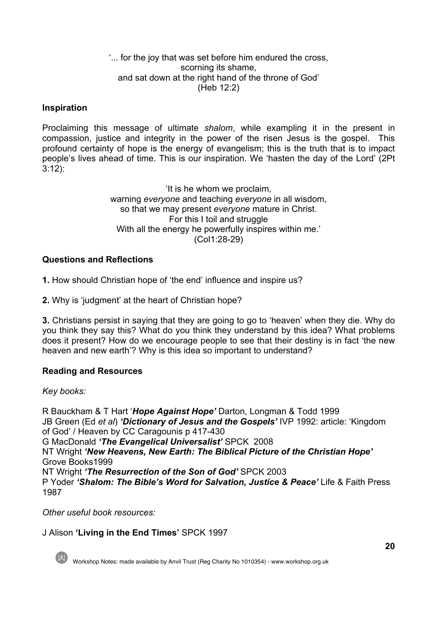### '... for the joy that was set before him endured the cross, scorning its shame, and sat down at the right hand of the throne of God' (Heb 12:2)

#### **Inspiration**

Proclaiming this message of ultimate *shalom*, while exampling it in the present in compassion, justice and integrity in the power of the risen Jesus is the gospel. This profound certainty of hope is the energy of evangelism; this is the truth that is to impact people's lives ahead of time. This is our inspiration. We 'hasten the day of the Lord' (2Pt 3:12):

> 'It is he whom we proclaim, warning *everyone* and teaching *everyone* in all wisdom, so that we may present *everyone* mature in Christ. For this I toil and struggle With all the energy he powerfully inspires within me.' (Col1:28-29)

### **Questions and Reflections**

**1.** How should Christian hope of 'the end' influence and inspire us?

**2.** Why is 'judgment' at the heart of Christian hope?

**3.** Christians persist in saying that they are going to go to 'heaven' when they die. Why do you think they say this? What do you think they understand by this idea? What problems does it present? How do we encourage people to see that their destiny is in fact 'the new heaven and new earth'? Why is this idea so important to understand?

#### **Reading and Resources**

*Key books:*

R Bauckham & T Hart '*Hope Against Hope'* Darton, Longman & Todd 1999 JB Green (Ed *et al*) *'Dictionary of Jesus and the Gospels'* IVP 1992: article: 'Kingdom of God' / Heaven by CC Caragounis p 417-430 G MacDonald *'The Evangelical Universalist'* SPCK 2008 NT Wright *'New Heavens, New Earth: The Biblical Picture of the Christian Hope'* Grove Books1999 NT Wright *'The Resurrection of the Son of God'* SPCK 2003 P Yoder *'Shalom: The Bible's Word for Salvation, Justice & Peace'* Life & Faith Press 1987

*Other useful book resources:*

J Alison **'Living in the End Times'** SPCK 1997